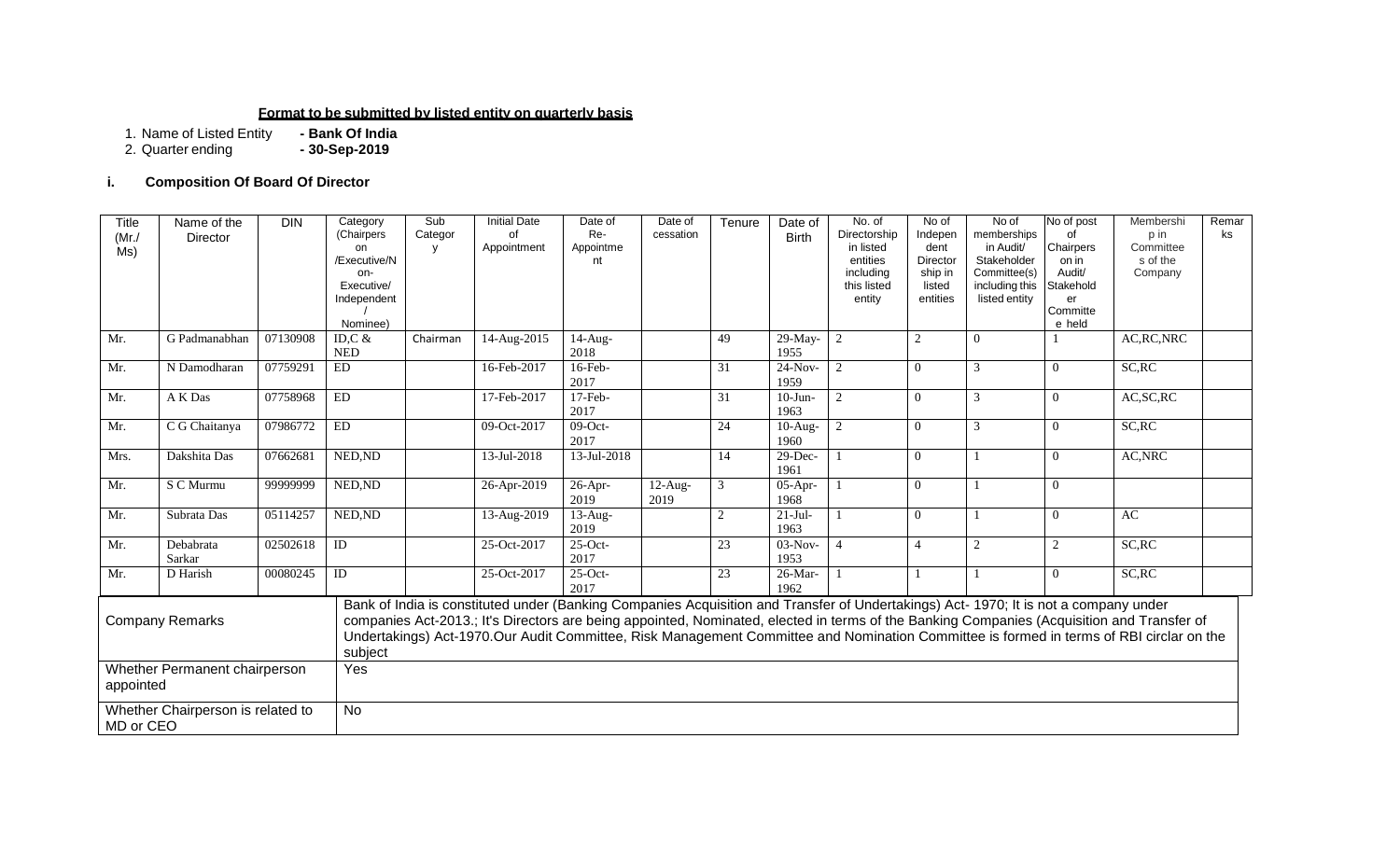#### **Format to be submitted by listed entity on quarterly basis**

1. Name of Listed Entity **- Bank Of India**

2. Quarter ending **- 30-Sep-2019**

#### **i. Composition Of Board Of Director**

| <b>Title</b><br>(Mr)<br>Ms)                | Name of the<br>Director           | <b>DIN</b> | Category<br>(Chairpers<br>on<br>/Executive/N<br>on-<br>Executive/<br>Independent<br>Nominee) | Sub<br>Categor<br>V | <b>Initial Date</b><br>οf<br>Appointment                                                                                             | Date of<br>Re-<br>Appointme<br>nt | Date of<br>cessation | Tenure         | Date of<br><b>Birth</b> | No. of<br>Directorship<br>in listed<br>entities<br>including<br>this listed<br>entity | No of<br>Indepen<br>dent<br>Director<br>ship in<br>listed<br>entities | No of<br>memberships<br>in Audit/<br>Stakeholder<br>Committee(s)<br>including this<br>listed entity | No of post<br>of<br>Chairpers<br>on in<br>Audit/<br>Stakehold<br>er<br>Committe<br>e held | Membershi<br>p in<br>Committee<br>s of the<br>Company                                                                                                                                                                                                                                 | Remar<br>ks |
|--------------------------------------------|-----------------------------------|------------|----------------------------------------------------------------------------------------------|---------------------|--------------------------------------------------------------------------------------------------------------------------------------|-----------------------------------|----------------------|----------------|-------------------------|---------------------------------------------------------------------------------------|-----------------------------------------------------------------------|-----------------------------------------------------------------------------------------------------|-------------------------------------------------------------------------------------------|---------------------------------------------------------------------------------------------------------------------------------------------------------------------------------------------------------------------------------------------------------------------------------------|-------------|
| Mr.                                        | G Padmanabhan                     | 07130908   | ID, $C &$<br><b>NED</b>                                                                      | Chairman            | 14-Aug-2015                                                                                                                          | $\overline{1}$ 4-Aug-<br>2018     |                      | 49             | 29-May-<br>1955         | $\overline{2}$                                                                        |                                                                       | $\overline{0}$                                                                                      |                                                                                           | AC, RC, NRC                                                                                                                                                                                                                                                                           |             |
| Mr.                                        | N Damodharan                      | 07759291   | ED                                                                                           |                     | 16-Feb-2017                                                                                                                          | 16-Feb-<br>2017                   |                      | 31             | $24-Nov-$<br>1959       | $\overline{c}$                                                                        | $\Omega$                                                              | 3                                                                                                   | $\mathbf{0}$                                                                              | $\overline{SC}$ , RC                                                                                                                                                                                                                                                                  |             |
| Mr.                                        | A K Das                           | 07758968   | ED                                                                                           |                     | 17-Feb-2017                                                                                                                          | $17$ -Feb-<br>2017                |                      | 31             | $10-J$ un-<br>1963      | $\overline{2}$                                                                        | $\Omega$                                                              | 3                                                                                                   | $\mathbf{0}$                                                                              | AC, SC, RC                                                                                                                                                                                                                                                                            |             |
| Mr.                                        | C G Chaitanya                     | 07986772   | ${\rm ED}$                                                                                   |                     | 09-Oct-2017                                                                                                                          | $09$ -Oct-<br>2017                |                      | 24             | $10-Aug-$<br>1960       | $\overline{2}$                                                                        | $\Omega$                                                              | 3                                                                                                   | $\mathbf{0}$                                                                              | SC, RC                                                                                                                                                                                                                                                                                |             |
| Mrs.                                       | Dakshita Das                      | 07662681   | NED, ND                                                                                      |                     | 13-Jul-2018                                                                                                                          | 13-Jul-2018                       |                      | 14             | $29$ -Dec-<br>1961      |                                                                                       | $\Omega$                                                              |                                                                                                     | $\Omega$                                                                                  | AC, NRC                                                                                                                                                                                                                                                                               |             |
| Mr.                                        | S C Murmu                         | 99999999   | NED, ND                                                                                      |                     | 26-Apr-2019                                                                                                                          | $26$ -Apr-<br>2019                | $12-Aug-$<br>2019    | $\mathfrak{Z}$ | $05-Apr-$<br>1968       |                                                                                       | $\theta$                                                              |                                                                                                     | $\Omega$                                                                                  |                                                                                                                                                                                                                                                                                       |             |
| Mr.                                        | Subrata Das                       | 05114257   | NED, ND                                                                                      |                     | 13-Aug-2019                                                                                                                          | $\overline{13}$ -Aug-<br>2019     |                      | 2              | $21-Jul-$<br>1963       |                                                                                       | $\Omega$                                                              |                                                                                                     | $\mathbf{0}$                                                                              | AC                                                                                                                                                                                                                                                                                    |             |
| Mr.                                        | Debabrata<br>Sarkar               | 02502618   | ID                                                                                           |                     | 25-Oct-2017                                                                                                                          | $25$ -Oct-<br>2017                |                      | 23             | $03-Nov-$<br>1953       | $\Delta$                                                                              |                                                                       | 2                                                                                                   | 2                                                                                         | SC, RC                                                                                                                                                                                                                                                                                |             |
| Mr.                                        | D Harish                          | 00080245   | $\overline{ID}$                                                                              |                     | 25-Oct-2017                                                                                                                          | $25$ -Oct-<br>2017                |                      | 23             | $26$ -Mar-<br>1962      |                                                                                       |                                                                       |                                                                                                     | $\theta$                                                                                  | SC, RC                                                                                                                                                                                                                                                                                |             |
| <b>Company Remarks</b>                     |                                   |            | subject                                                                                      |                     | Bank of India is constituted under (Banking Companies Acquisition and Transfer of Undertakings) Act- 1970; It is not a company under |                                   |                      |                |                         |                                                                                       |                                                                       |                                                                                                     |                                                                                           | companies Act-2013.; It's Directors are being appointed, Nominated, elected in terms of the Banking Companies (Acquisition and Transfer of<br>Undertakings) Act-1970.Our Audit Committee, Risk Management Committee and Nomination Committee is formed in terms of RBI circlar on the |             |
| Whether Permanent chairperson<br>appointed |                                   |            | Yes                                                                                          |                     |                                                                                                                                      |                                   |                      |                |                         |                                                                                       |                                                                       |                                                                                                     |                                                                                           |                                                                                                                                                                                                                                                                                       |             |
| MD or CEO                                  | Whether Chairperson is related to |            | No                                                                                           |                     |                                                                                                                                      |                                   |                      |                |                         |                                                                                       |                                                                       |                                                                                                     |                                                                                           |                                                                                                                                                                                                                                                                                       |             |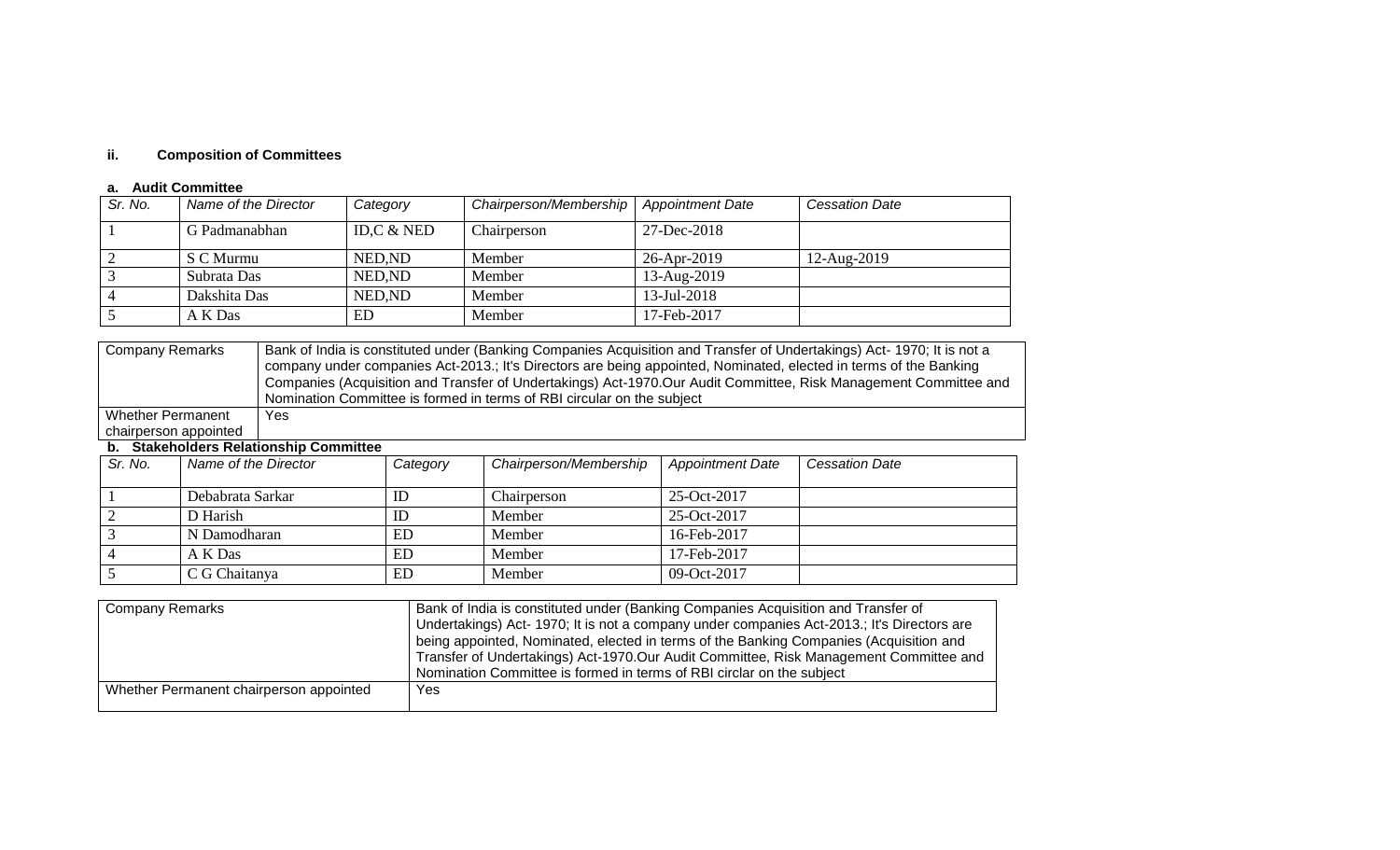# **ii. Composition of Committees**

#### **a. Audit Committee**

| Sr. No.        | Name of the Director | Category     | Chairperson/Membership | <b>Appointment Date</b> | <b>Cessation Date</b> |
|----------------|----------------------|--------------|------------------------|-------------------------|-----------------------|
|                | G Padmanabhan        | ID,C $&$ NED | Chairperson            | 27-Dec-2018             |                       |
|                | S C Murmu            | NED, ND      | Member                 | 26-Apr-2019             | 12-Aug-2019           |
|                | Subrata Das          | NED, ND      | Member                 | 13-Aug-2019             |                       |
| $\overline{4}$ | Dakshita Das         | NED.ND       | Member                 | $13$ -Jul-2018          |                       |
|                | A K Das              | ED           | Member                 | 17-Feb-2017             |                       |

| Company Remarks          | Bank of India is constituted under (Banking Companies Acquisition and Transfer of Undertakings) Act-1970; It is not a |
|--------------------------|-----------------------------------------------------------------------------------------------------------------------|
|                          | company under companies Act-2013.; It's Directors are being appointed, Nominated, elected in terms of the Banking     |
|                          | Companies (Acquisition and Transfer of Undertakings) Act-1970.Our Audit Committee, Risk Management Committee and      |
|                          | Nomination Committee is formed in terms of RBI circular on the subject                                                |
| <b>Whether Permanent</b> | Yes                                                                                                                   |
| chairperson appointed    |                                                                                                                       |

#### **b. Stakeholders Relationship Committee**

| Sr. No. | Name of the Director | Category | Chairperson/Membership | <b>Appointment Date</b> | <b>Cessation Date</b> |
|---------|----------------------|----------|------------------------|-------------------------|-----------------------|
|         |                      |          |                        |                         |                       |
|         |                      |          |                        |                         |                       |
|         | Debabrata Sarkar     | ID       | Chairperson            | 25-Oct-2017             |                       |
|         | D Harish             | ID       | Member                 | 25-Oct-2017             |                       |
|         | N Damodharan         | ED       | Member                 | 16-Feb-2017             |                       |
|         | A K Das              | ED       | Member                 | 17-Feb-2017             |                       |
|         | C G Chaitanya        | ED       | Member                 | 09-Oct-2017             |                       |

| Company Remarks                         | Bank of India is constituted under (Banking Companies Acquisition and Transfer of<br>Undertakings) Act- 1970; It is not a company under companies Act-2013.; It's Directors are<br>being appointed, Nominated, elected in terms of the Banking Companies (Acquisition and<br>Transfer of Undertakings) Act-1970.Our Audit Committee, Risk Management Committee and |
|-----------------------------------------|--------------------------------------------------------------------------------------------------------------------------------------------------------------------------------------------------------------------------------------------------------------------------------------------------------------------------------------------------------------------|
|                                         | Nomination Committee is formed in terms of RBI circlar on the subject                                                                                                                                                                                                                                                                                              |
| Whether Permanent chairperson appointed | Yes.                                                                                                                                                                                                                                                                                                                                                               |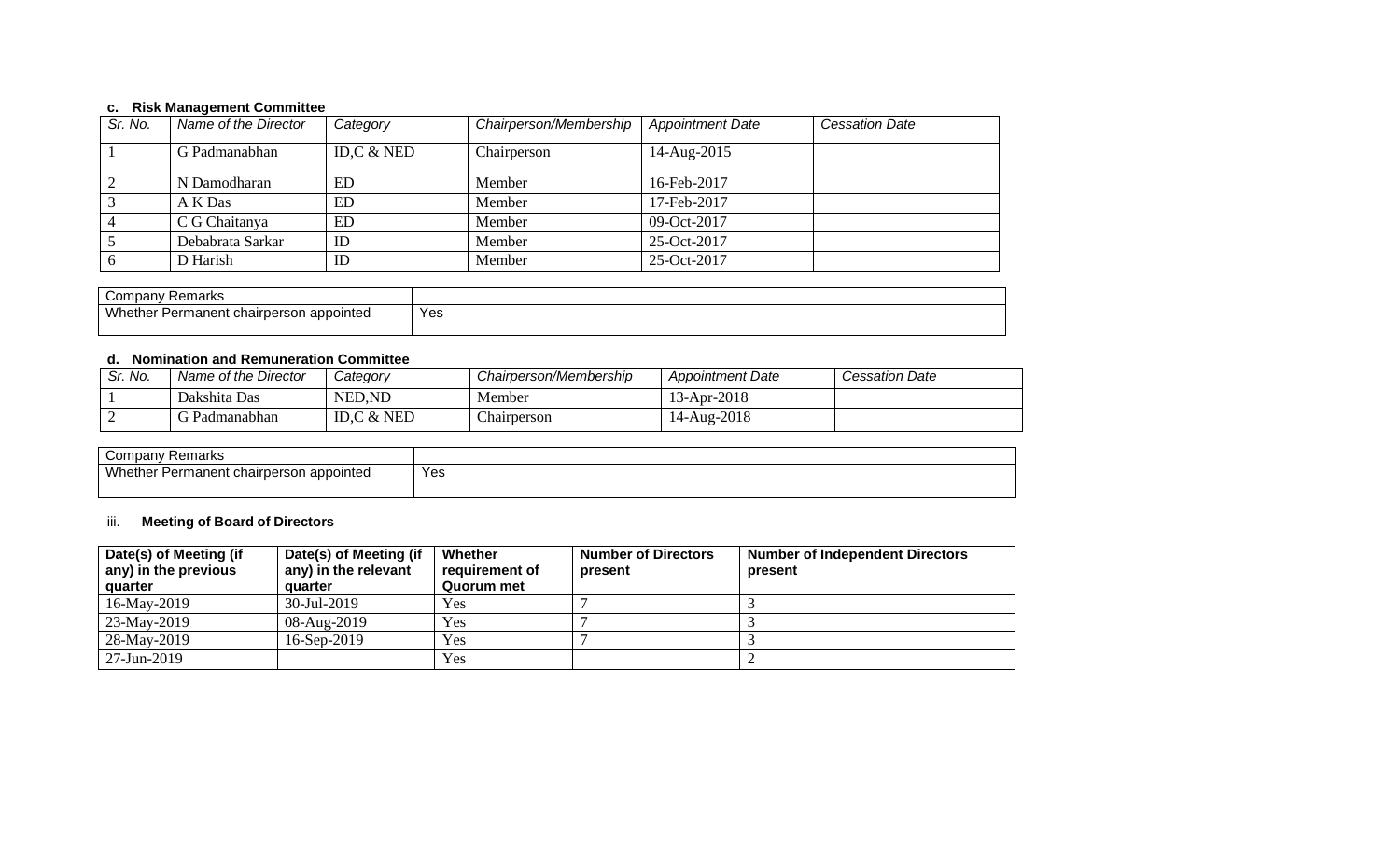#### **c. Risk Management Committee**

| Sr. No. | Name of the Director | Category      | Chairperson/Membership | <b>Appointment Date</b> | <b>Cessation Date</b> |
|---------|----------------------|---------------|------------------------|-------------------------|-----------------------|
|         | G Padmanabhan        | ID, $C & NED$ | Chairperson            | 14-Aug-2015             |                       |
|         | N Damodharan         | ED            | Member                 | 16-Feb-2017             |                       |
|         | A K Das              | ED            | Member                 | 17-Feb-2017             |                       |
|         | C G Chaitanya        | ED            | Member                 | 09-Oct-2017             |                       |
|         | Debabrata Sarkar     | ID            | Member                 | 25-Oct-2017             |                       |
|         | D Harish             | ID            | Member                 | 25-Oct-2017             |                       |

| Company<br>Remarks                            |     |
|-----------------------------------------------|-----|
| Whet.<br>ther Permanent chairperson appointed | Yes |

## **d. Nomination and Remuneration Committee**

| Sr. No. | Name of the Director | Categorv     | Chairperson/Membership | <b>Appointment Date</b> | <b>Cessation Date</b> |
|---------|----------------------|--------------|------------------------|-------------------------|-----------------------|
|         | Dakshita Das         | NED, ND      | Member                 | $13$ -Apr-2018          |                       |
|         | Padmanabhan          | ID.C $&$ NED | $\sim$<br>Chairperson  | 14-Aug-2018             |                       |

| Company<br><sup>,</sup> Remarks         |     |
|-----------------------------------------|-----|
| Whether Permanent chairperson appointed | Yes |
|                                         |     |

#### iii. **Meeting of Board of Directors**

| Date(s) of Meeting (if<br>any) in the previous<br>quarter | Date(s) of Meeting (if<br>any) in the relevant<br>quarter | Whether<br>requirement of<br>Quorum met | <b>Number of Directors</b><br>present | <b>Number of Independent Directors</b><br>present |
|-----------------------------------------------------------|-----------------------------------------------------------|-----------------------------------------|---------------------------------------|---------------------------------------------------|
| 16-May-2019                                               | 30-Jul-2019                                               | Yes                                     |                                       |                                                   |
| 23-May-2019                                               | 08-Aug-2019                                               | Yes                                     |                                       |                                                   |
| 28-May-2019                                               | $16$ -Sep-2019                                            | Yes                                     |                                       |                                                   |
| 27-Jun-2019                                               |                                                           | Yes                                     |                                       |                                                   |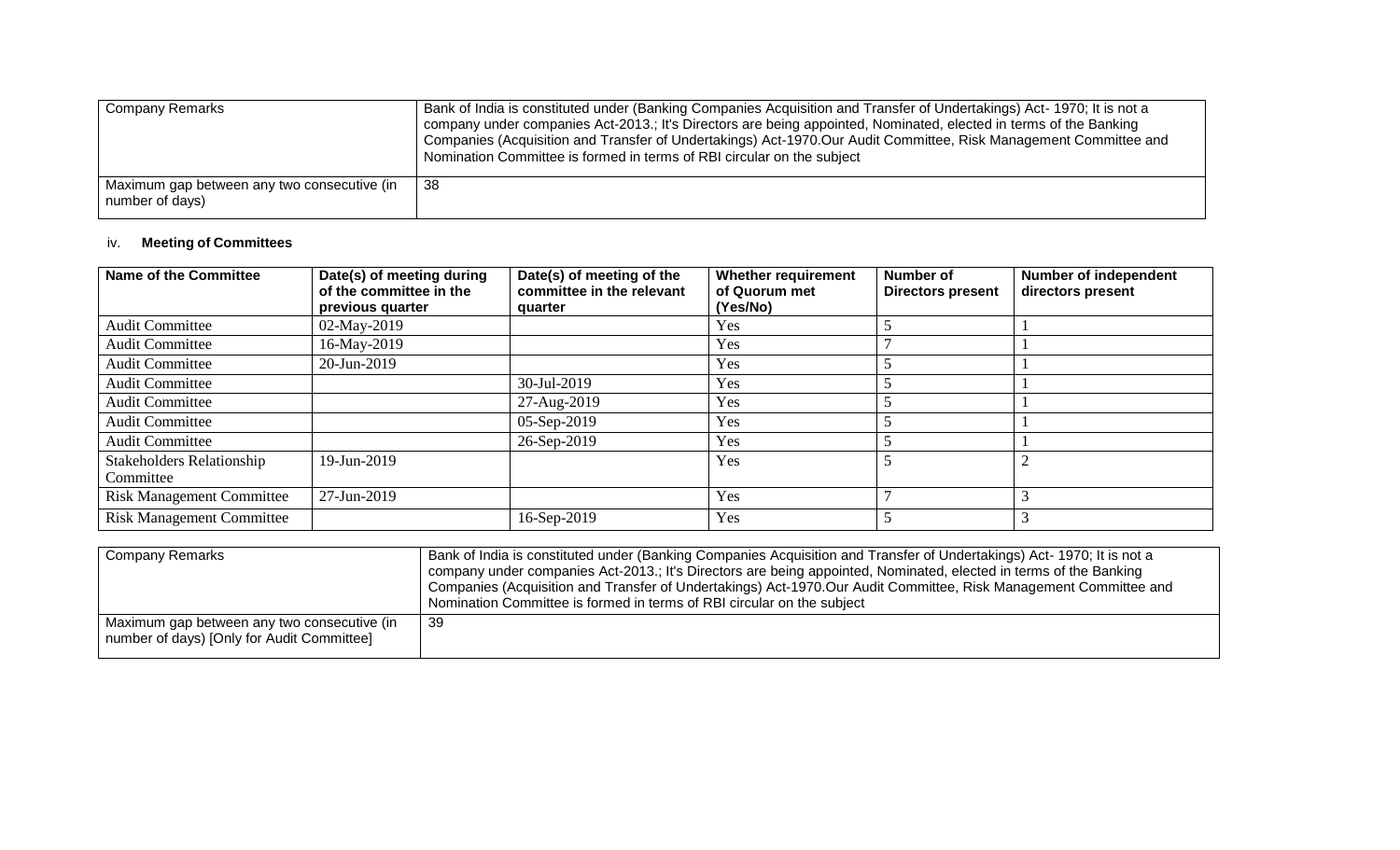| <b>Company Remarks</b>                                         | Bank of India is constituted under (Banking Companies Acquisition and Transfer of Undertakings) Act-1970; It is not a<br>company under companies Act-2013.; It's Directors are being appointed, Nominated, elected in terms of the Banking<br>Companies (Acquisition and Transfer of Undertakings) Act-1970.Our Audit Committee, Risk Management Committee and<br>Nomination Committee is formed in terms of RBI circular on the subject |
|----------------------------------------------------------------|------------------------------------------------------------------------------------------------------------------------------------------------------------------------------------------------------------------------------------------------------------------------------------------------------------------------------------------------------------------------------------------------------------------------------------------|
| Maximum gap between any two consecutive (in<br>number of days) | -38                                                                                                                                                                                                                                                                                                                                                                                                                                      |

## iv. **Meeting of Committees**

| Name of the Committee                         | Date(s) of meeting during<br>of the committee in the<br>previous quarter | Date(s) of meeting of the<br>committee in the relevant<br>quarter | <b>Whether requirement</b><br>of Quorum met<br>(Yes/No) | Number of<br><b>Directors present</b> | <b>Number of independent</b><br>directors present |
|-----------------------------------------------|--------------------------------------------------------------------------|-------------------------------------------------------------------|---------------------------------------------------------|---------------------------------------|---------------------------------------------------|
| <b>Audit Committee</b>                        | 02-May-2019                                                              |                                                                   | <b>Yes</b>                                              |                                       |                                                   |
| <b>Audit Committee</b>                        | 16-May-2019                                                              |                                                                   | Yes                                                     |                                       |                                                   |
| <b>Audit Committee</b>                        | 20-Jun-2019                                                              |                                                                   | Yes                                                     |                                       |                                                   |
| <b>Audit Committee</b>                        |                                                                          | 30-Jul-2019                                                       | Yes                                                     |                                       |                                                   |
| <b>Audit Committee</b>                        |                                                                          | 27-Aug-2019                                                       | Yes                                                     |                                       |                                                   |
| <b>Audit Committee</b>                        |                                                                          | 05-Sep-2019                                                       | Yes                                                     |                                       |                                                   |
| <b>Audit Committee</b>                        |                                                                          | 26-Sep-2019                                                       | Yes                                                     |                                       |                                                   |
| <b>Stakeholders Relationship</b><br>Committee | 19-Jun-2019                                                              |                                                                   | Yes                                                     |                                       |                                                   |
| <b>Risk Management Committee</b>              | 27-Jun-2019                                                              |                                                                   | Yes                                                     |                                       |                                                   |
| <b>Risk Management Committee</b>              |                                                                          | 16-Sep-2019                                                       | Yes                                                     |                                       |                                                   |

| <b>Company Remarks</b>                                                                    | Bank of India is constituted under (Banking Companies Acquisition and Transfer of Undertakings) Act-1970; It is not a<br>company under companies Act-2013.; It's Directors are being appointed, Nominated, elected in terms of the Banking<br>Companies (Acquisition and Transfer of Undertakings) Act-1970.Our Audit Committee, Risk Management Committee and<br>Nomination Committee is formed in terms of RBI circular on the subject |
|-------------------------------------------------------------------------------------------|------------------------------------------------------------------------------------------------------------------------------------------------------------------------------------------------------------------------------------------------------------------------------------------------------------------------------------------------------------------------------------------------------------------------------------------|
| Maximum gap between any two consecutive (in<br>number of days) [Only for Audit Committee] | -39                                                                                                                                                                                                                                                                                                                                                                                                                                      |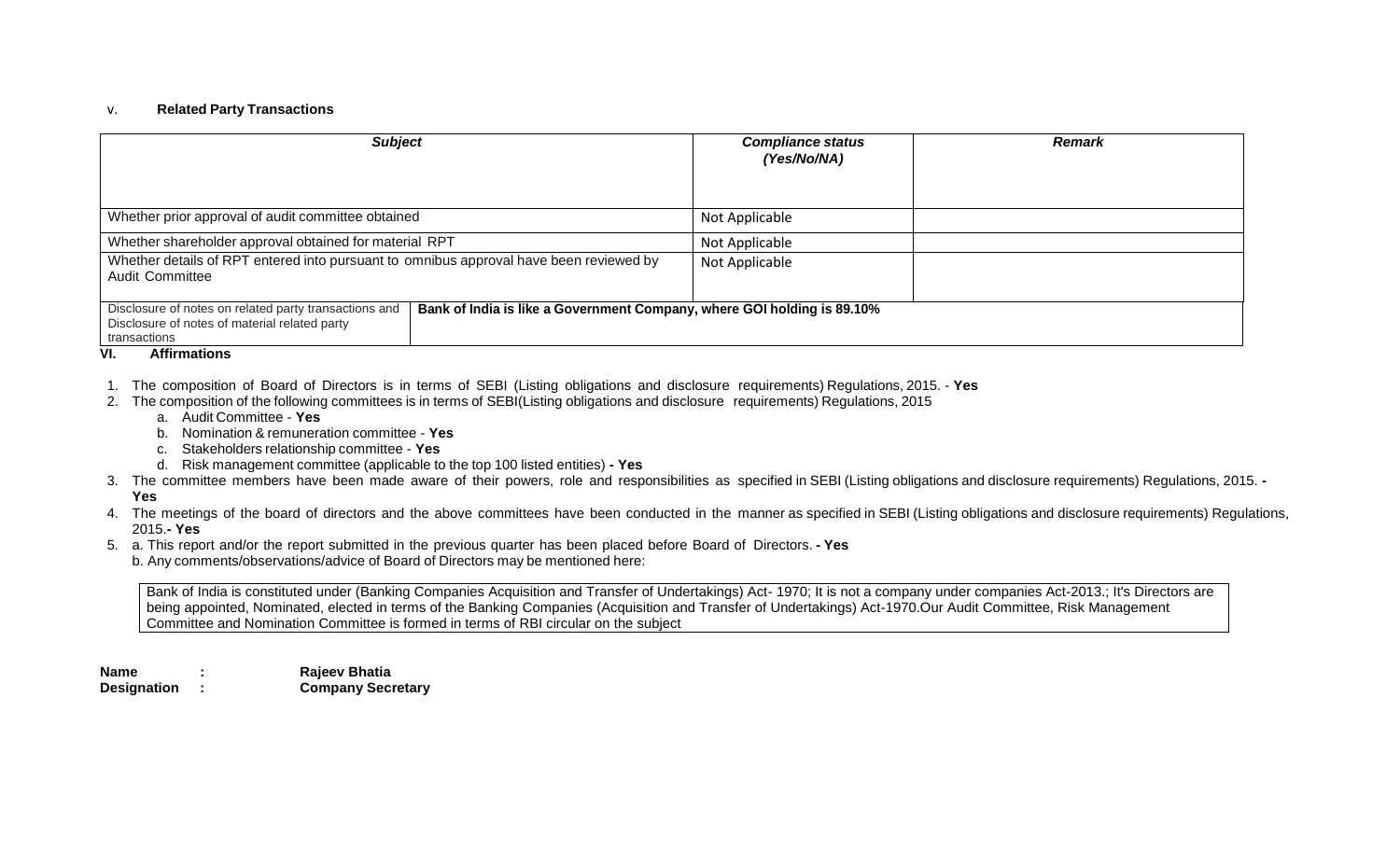#### v. **Related Party Transactions**

| <b>Subject</b>                                                                                                                 | <b>Compliance status</b><br>(Yes/No/NA)                                 | <b>Remark</b> |  |  |
|--------------------------------------------------------------------------------------------------------------------------------|-------------------------------------------------------------------------|---------------|--|--|
| Whether prior approval of audit committee obtained                                                                             | Not Applicable                                                          |               |  |  |
| Whether shareholder approval obtained for material RPT                                                                         | Not Applicable                                                          |               |  |  |
| Whether details of RPT entered into pursuant to omnibus approval have been reviewed by<br>Audit Committee                      | Not Applicable                                                          |               |  |  |
| Disclosure of notes on related party transactions and<br>Disclosure of notes of material related party<br>transactions<br>---- | Bank of India is like a Government Company, where GOI holding is 89.10% |               |  |  |

#### **VI. Affirmations**

- 1. The composition of Board of Directors is in terms of SEBI (Listing obligations and disclosure requirements) Regulations, 2015. **Yes**
- 2. The composition of the following committees is in terms of SEBI(Listing obligations and disclosure requirements) Regulations, 2015
	- a. Audit Committee **Yes**
	- b. Nomination & remuneration committee **Yes**
	- c. Stakeholders relationship committee **Yes**
	- d. Risk management committee (applicable to the top 100 listed entities) **- Yes**
- 3. The committee members have been made aware of their powers, role and responsibilities as specified in SEBI (Listing obligations and disclosure requirements) Regulations, 2015. **- Yes**
- 4. The meetings of the board of directors and the above committees have been conducted in the manner as specified in SEBI (Listing obligations and disclosure requirements) Regulations, 2015.**- Yes**
- 5. a. This report and/or the report submitted in the previous quarter has been placed before Board of Directors. **- Yes**
	- b. Any comments/observations/advice of Board of Directors may be mentioned here:

Bank of India is constituted under (Banking Companies Acquisition and Transfer of Undertakings) Act- 1970; It is not a company under companies Act-2013.; It's Directors are being appointed, Nominated, elected in terms of the Banking Companies (Acquisition and Transfer of Undertakings) Act-1970.Our Audit Committee, Risk Management Committee and Nomination Committee is formed in terms of RBI circular on the subject

**Name : Rajeev Bhatia Designation : Company Secretary**